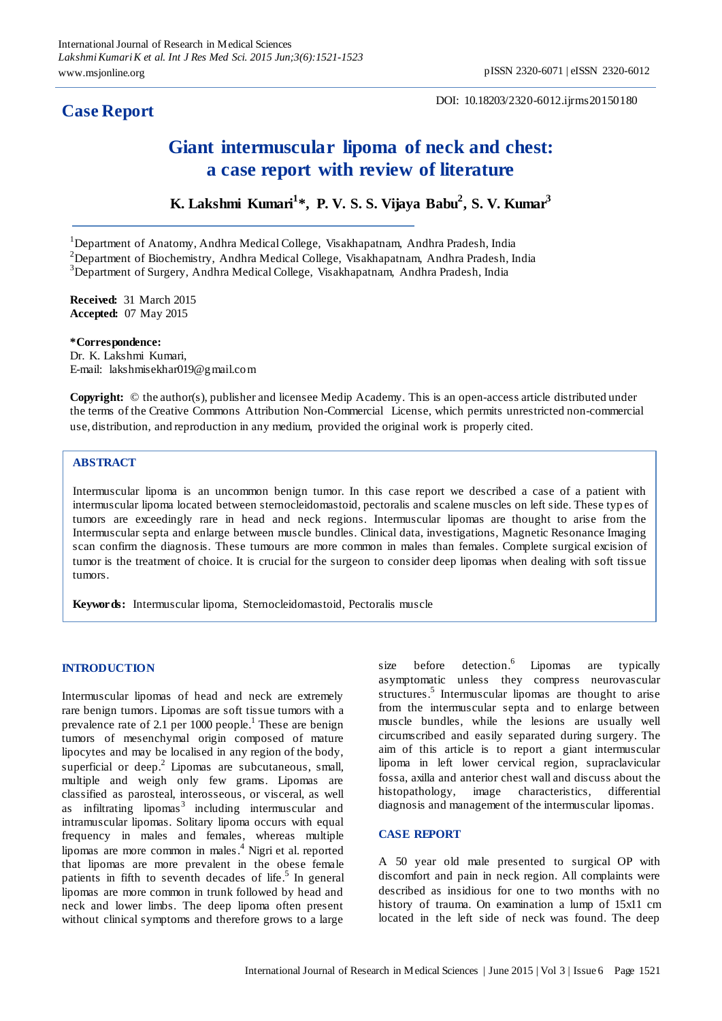# **Case Report**

DOI: 10.18203/2320-6012.ijrms20150180

# **Giant intermuscular lipoma of neck and chest: a case report with review of literature**

**K. Lakshmi Kumari<sup>1</sup> \*, P. V. S. S. Vijaya Babu<sup>2</sup> , S. V. Kumar<sup>3</sup>**

<sup>1</sup>Department of Anatomy, Andhra Medical College, Visakhapatnam, Andhra Pradesh, India  $2$ Department of Biochemistry, Andhra Medical College, Visakhapatnam, Andhra Pradesh, India

<sup>3</sup>Department of Surgery, Andhra Medical College, Visakhapatnam, Andhra Pradesh, India

**Received:** 31 March 2015 **Accepted:** 07 May 2015

**\*Correspondence:**

Dr. K. Lakshmi Kumari, E-mail: lakshmisekhar019@gmail.com

**Copyright:** © the author(s), publisher and licensee Medip Academy. This is an open-access article distributed under the terms of the Creative Commons Attribution Non-Commercial License, which permits unrestricted non-commercial use, distribution, and reproduction in any medium, provided the original work is properly cited.

#### **ABSTRACT**

Intermuscular lipoma is an uncommon benign tumor. In this case report we described a case of a patient with intermuscular lipoma located between sternocleidomastoid, pectoralis and scalene muscles on left side. These typ es of tumors are exceedingly rare in head and neck regions. Intermuscular lipomas are thought to arise from the Intermuscular septa and enlarge between muscle bundles. Clinical data, investigations, Magnetic Resonance Imaging scan confirm the diagnosis. These tumours are more common in males than females. Complete surgical excision of tumor is the treatment of choice. It is crucial for the surgeon to consider deep lipomas when dealing with soft tissue tumors.

**Keywords:** Intermuscular lipoma, Sternocleidomastoid, Pectoralis muscle

# **INTRODUCTION**

Intermuscular lipomas of head and neck are extremely rare benign tumors. Lipomas are soft tissue tumors with a prevalence rate of 2.1 per 1000 people.<sup>1</sup> These are benign tumors of mesenchymal origin composed of mature lipocytes and may be localised in any region of the body, superficial or deep.<sup>2</sup> Lipomas are subcutaneous, small, multiple and weigh only few grams. Lipomas are classified as parosteal, interosseous, or visceral, as well as infiltrating lipomas $3$  including intermuscular and intramuscular lipomas. Solitary lipoma occurs with equal frequency in males and females, whereas multiple lipomas are more common in males.<sup>4</sup> Nigri et al. reported that lipomas are more prevalent in the obese female patients in fifth to seventh decades of life.<sup>5</sup> In general lipomas are more common in trunk followed by head and neck and lower limbs. The deep lipoma often present without clinical symptoms and therefore grows to a large

size before detection.<sup>6</sup> Lipomas are typically asymptomatic unless they compress neurovascular structures.<sup>5</sup> Intermuscular lipomas are thought to arise from the intermuscular septa and to enlarge between muscle bundles, while the lesions are usually well circumscribed and easily separated during surgery. The aim of this article is to report a giant intermuscular lipoma in left lower cervical region, supraclavicular fossa, axilla and anterior chest wall and discuss about the histopathology, image characteristics, differential diagnosis and management of the intermuscular lipomas.

# **CASE REPORT**

A 50 year old male presented to surgical OP with discomfort and pain in neck region. All complaints were described as insidious for one to two months with no history of trauma. On examination a lump of 15x11 cm located in the left side of neck was found. The deep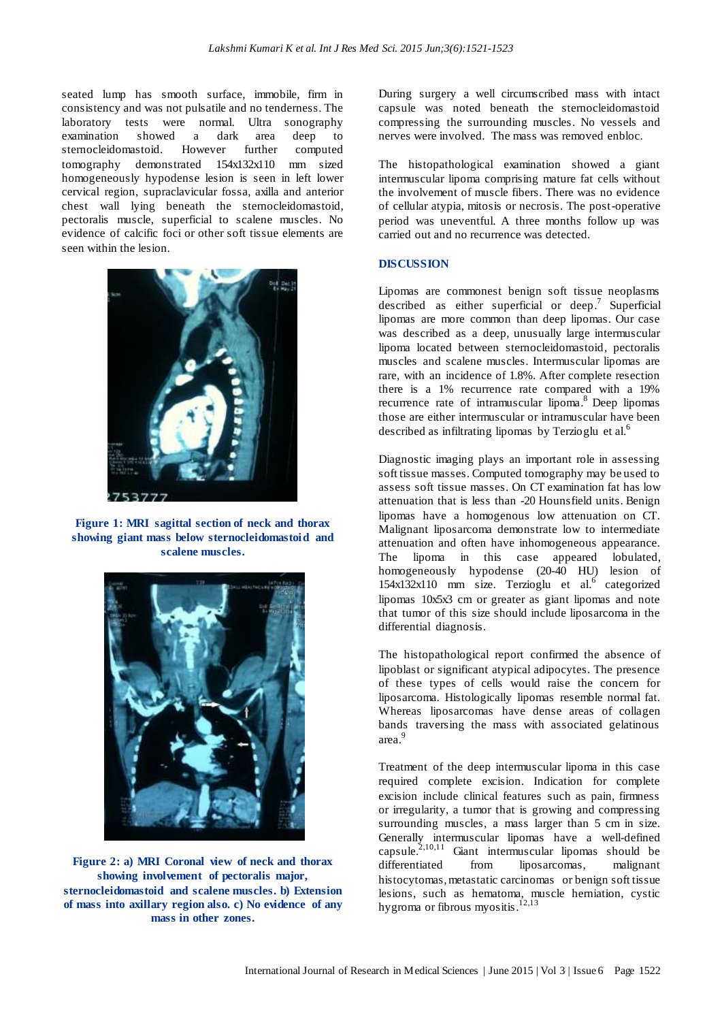seated lump has smooth surface, immobile, firm in consistency and was not pulsatile and no tenderness. The laboratory tests were normal. Ultra sonography examination showed a dark area deep to sternocleidomastoid. However further computed tomography demonstrated 154x132x110 mm sized homogeneously hypodense lesion is seen in left lower cervical region, supraclavicular fossa, axilla and anterior chest wall lying beneath the sternocleidomastoid, pectoralis muscle, superficial to scalene muscles. No evidence of calcific foci or other soft tissue elements are seen within the lesion.



**Figure 1: MRI sagittal section of neck and thorax showing giant mass below sternocleidomastoid and scalene muscles.**



**Figure 2: a) MRI Coronal view of neck and thorax showing involvement of pectoralis major, sternocleidomastoid and scalene muscles. b) Extension of mass into axillary region also. c) No evidence of any mass in other zones.**

During surgery a well circumscribed mass with intact capsule was noted beneath the sternocleidomastoid compressing the surrounding muscles. No vessels and nerves were involved. The mass was removed enbloc.

The histopathological examination showed a giant intermuscular lipoma comprising mature fat cells without the involvement of muscle fibers. There was no evidence of cellular atypia, mitosis or necrosis. The post-operative period was uneventful. A three months follow up was carried out and no recurrence was detected.

#### **DISCUSSION**

Lipomas are commonest benign soft tissue neoplasms described as either superficial or deep.<sup>7</sup> Superficial lipomas are more common than deep lipomas. Our case was described as a deep, unusually large intermuscular lipoma located between sternocleidomastoid, pectoralis muscles and scalene muscles. Intermuscular lipomas are rare, with an incidence of 1.8%. After complete resection there is a 1% recurrence rate compared with a 19% recurrence rate of intramuscular lipoma.<sup>8</sup> Deep lipomas those are either intermuscular or intramuscular have been described as infiltrating lipomas by Terzioglu et al. $<sup>6</sup>$ </sup>

Diagnostic imaging plays an important role in assessing soft tissue masses. Computed tomography may be used to assess soft tissue masses. On CT examination fat has low attenuation that is less than -20 Hounsfield units. Benign lipomas have a homogenous low attenuation on CT. Malignant liposarcoma demonstrate low to intermediate attenuation and often have inhomogeneous appearance. The lipoma in this case appeared lobulated, homogeneously hypodense (20-40 HU) lesion of 154x132x110 mm size. Terzioglu et al.<sup>6</sup> categorized lipomas 10x5x3 cm or greater as giant lipomas and note that tumor of this size should include liposarcoma in the differential diagnosis.

The histopathological report confirmed the absence of lipoblast or significant atypical adipocytes. The presence of these types of cells would raise the concern for liposarcoma. Histologically lipomas resemble normal fat. Whereas liposarcomas have dense areas of collagen bands traversing the mass with associated gelatinous area. 9

Treatment of the deep intermuscular lipoma in this case required complete excision. Indication for complete excision include clinical features such as pain, firmness or irregularity, a tumor that is growing and compressing surrounding muscles, a mass larger than 5 cm in size. Generally intermuscular lipomas have a well-defined capsule. 2,10,11 Giant intermuscular lipomas should be differentiated from liposarcomas, malignant histocytomas, metastatic carcinomas or benign soft tissue lesions, such as hematoma, muscle herniation, cystic hygroma or fibrous myositis.<sup>12,13</sup>